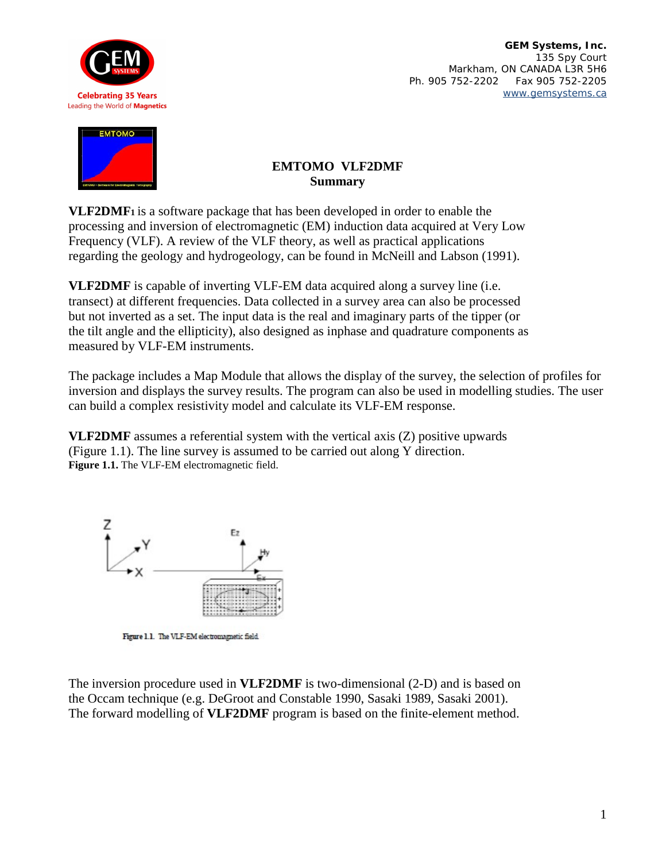

**GEM Systems, Inc.**  135 Spy Court Markham, ON CANADA L3R 5H6 Ph. 905 752-2202 Fax 905 752-2205 [www.gemsystems.ca](http://www.gemsystems.ca)



## **EMTOMO VLF2DMF Summary**

**VLF2DMF1** is a software package that has been developed in order to enable the processing and inversion of electromagnetic (EM) induction data acquired at Very Low Frequency (VLF). A review of the VLF theory, as well as practical applications regarding the geology and hydrogeology, can be found in McNeill and Labson (1991).

**VLF2DMF** is capable of inverting VLF-EM data acquired along a survey line (i.e. transect) at different frequencies. Data collected in a survey area can also be processed but not inverted as a set. The input data is the real and imaginary parts of the tipper (or the tilt angle and the ellipticity), also designed as inphase and quadrature components as measured by VLF-EM instruments.

The package includes a Map Module that allows the display of the survey, the selection of profiles for inversion and displays the survey results. The program can also be used in modelling studies. The user can build a complex resistivity model and calculate its VLF-EM response.

**VLF2DMF** assumes a referential system with the vertical axis (Z) positive upwards (Figure 1.1). The line survey is assumed to be carried out along Y direction. **Figure 1.1.** The VLF-EM electromagnetic field.



Figure 1.1. The VLF-EM electromagnetic field.

The inversion procedure used in **VLF2DMF** is two-dimensional (2-D) and is based on the Occam technique (e.g. DeGroot and Constable 1990, Sasaki 1989, Sasaki 2001). The forward modelling of **VLF2DMF** program is based on the finite-element method.